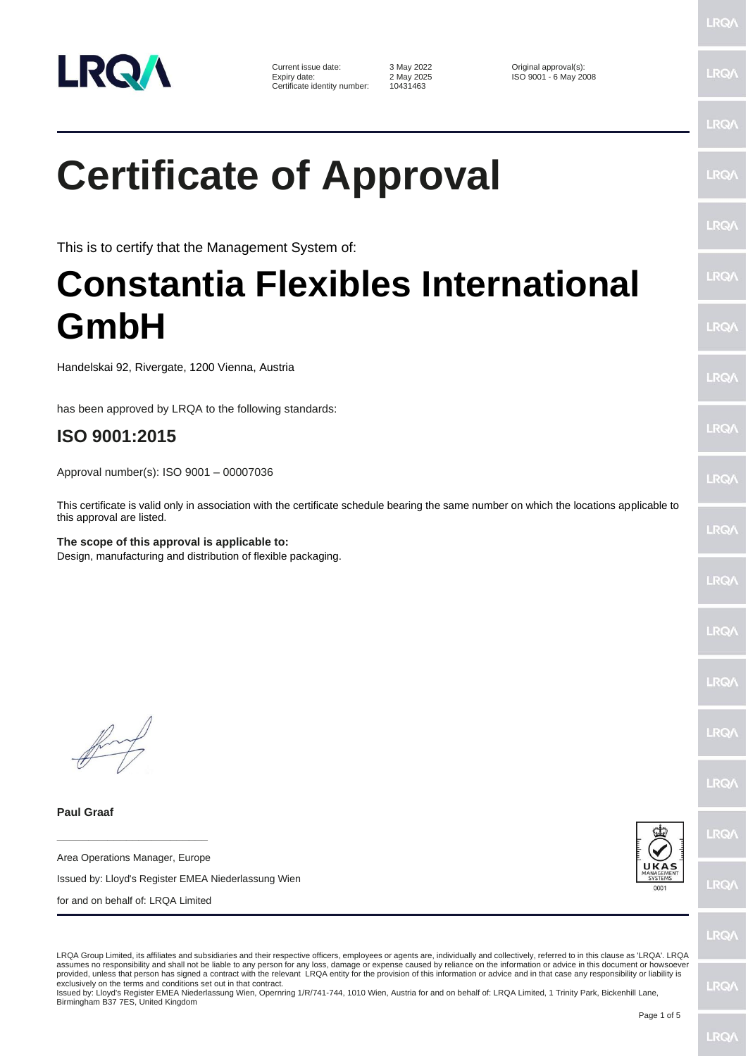

Current issue date: 3 May 2022 <br>
Expiry date: 2 May 2025 <br>
2 May 2025 <br>
2 May 2025 <br>
2 May 2025 <br>
2 May 2025 <br>
2 May 2025 <br>
2 May 2025 <br>
2 May 2025 <br>
2 May 2025 <br>
2 May 2025 <br>
2 May 2025 <br>
2 May 2025 <br>
2 May 2025 <br>
2 May 2 Certificate identity number:

Expiry date: 2 May 2025 ISO 9001 - 6 May 2008

LRQ/

**LRQ/** 

LRQ/

**LRO/** 

LRO/

LRQ/

LRQ/

LRQ/

LRQ/

LRQ/

LRQ/

LRQ/

LRQ/

LRQ/

LRQ/

LRQ/

LRQ/

LRQ/

## **Certificate of Approval**

This is to certify that the Management System of:

## **Constantia Flexibles International GmbH**

Handelskai 92, Rivergate, 1200 Vienna, Austria

has been approved by LRQA to the following standards:

## **ISO 9001:2015**

Approval number(s): ISO 9001 – 00007036

This certificate is valid only in association with the certificate schedule bearing the same number on which the locations applicable to this approval are listed.

**The scope of this approval is applicable to:** Design, manufacturing and distribution of flexible packaging.

**Paul Graaf**

Area Operations Manager, Europe

**\_\_\_\_\_\_\_\_\_\_\_\_\_\_\_\_\_\_\_\_\_\_\_\_**

Issued by: Lloyd's Register EMEA Niederlassung Wien

for and on behalf of: LRQA Limited



LRQ/

LRQA Group Limited, its affiliates and subsidiaries and their respective officers, employees or agents are, individually and collectively, referred to in this clause as 'LRQA'. LRQA assumes no responsibility and shall not be liable to any person for any loss, damage or expense caused by reliance on the information or advice in this document or howsoever provided, unless that person has signed a contract with the relevant LRQA entity for the provision of this information or advice and in that case any responsibility or liability is exclusively on the terms and conditions set out in that contract.

Issued by: Lloyd's Register EMEA Niederlassung Wien, Opernring 1/R/741-744, 1010 Wien, Austria for and on behalf of: LRQA Limited, 1 Trinity Park, Bickenhill Lane, Birmingham B37 7ES, United Kingdom

LRQ/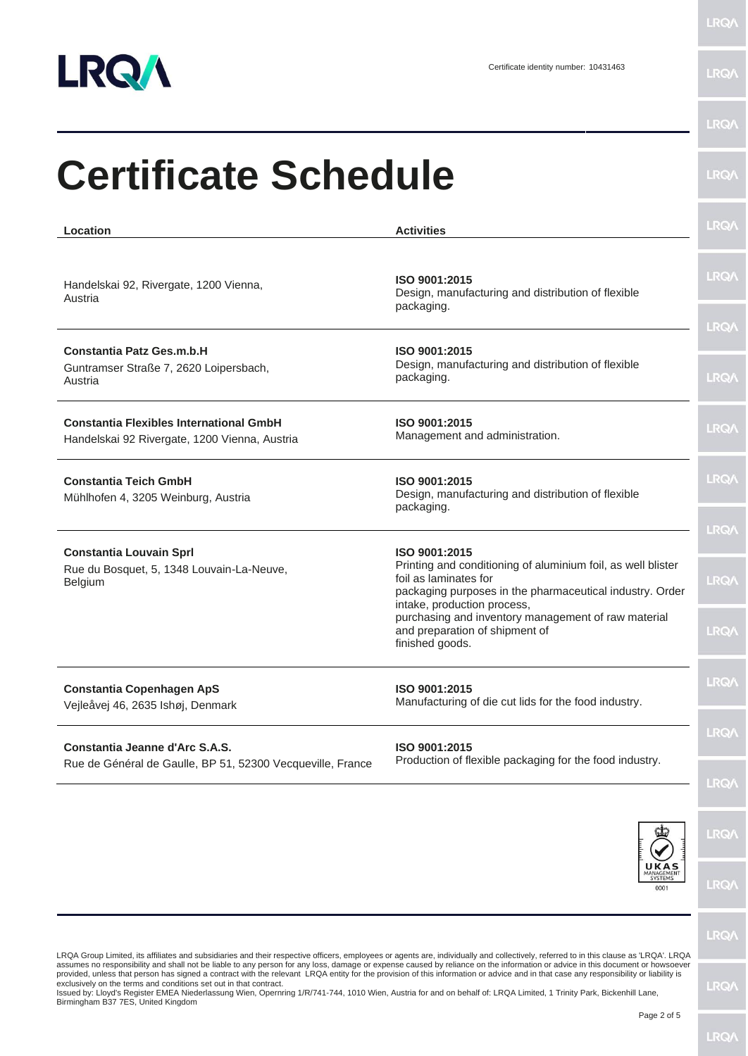

**LRQ/\** 

| <b>Activities</b>                                                                                                                                 | LRQ/                                                                                                                                                    |
|---------------------------------------------------------------------------------------------------------------------------------------------------|---------------------------------------------------------------------------------------------------------------------------------------------------------|
| ISO 9001:2015<br>Design, manufacturing and distribution of flexible<br>packaging.                                                                 | <b>LRQA</b>                                                                                                                                             |
|                                                                                                                                                   | <b>LRQ/</b>                                                                                                                                             |
| Design, manufacturing and distribution of flexible<br>packaging.                                                                                  | <b>LRQ/</b>                                                                                                                                             |
| ISO 9001:2015<br>Management and administration.                                                                                                   | LRQ/                                                                                                                                                    |
| ISO 9001:2015<br>Design, manufacturing and distribution of flexible<br>packaging.                                                                 | <b>LRQA</b>                                                                                                                                             |
|                                                                                                                                                   | LRQ/                                                                                                                                                    |
| Printing and conditioning of aluminium foil, as well blister<br>foil as laminates for<br>packaging purposes in the pharmaceutical industry. Order | LRQ/                                                                                                                                                    |
| purchasing and inventory management of raw material<br>and preparation of shipment of<br>finished goods.                                          | LRQ/                                                                                                                                                    |
| ISO 9001:2015<br>Manufacturing of die cut lids for the food industry.                                                                             | <b>LRQ/</b>                                                                                                                                             |
| ISO 9001:2015                                                                                                                                     | <b>LRQA</b>                                                                                                                                             |
|                                                                                                                                                   | <b>LRQA</b>                                                                                                                                             |
|                                                                                                                                                   | <b>LRQ/</b>                                                                                                                                             |
| UKA<br><b>SYSTEMS</b><br>0001                                                                                                                     | LRQ/                                                                                                                                                    |
|                                                                                                                                                   | LRQ/                                                                                                                                                    |
|                                                                                                                                                   | <b>Certificate Schedule</b><br>ISO 9001:2015<br>ISO 9001:2015<br>intake, production process,<br>Production of flexible packaging for the food industry. |

Page 2 of 5

LRQ/\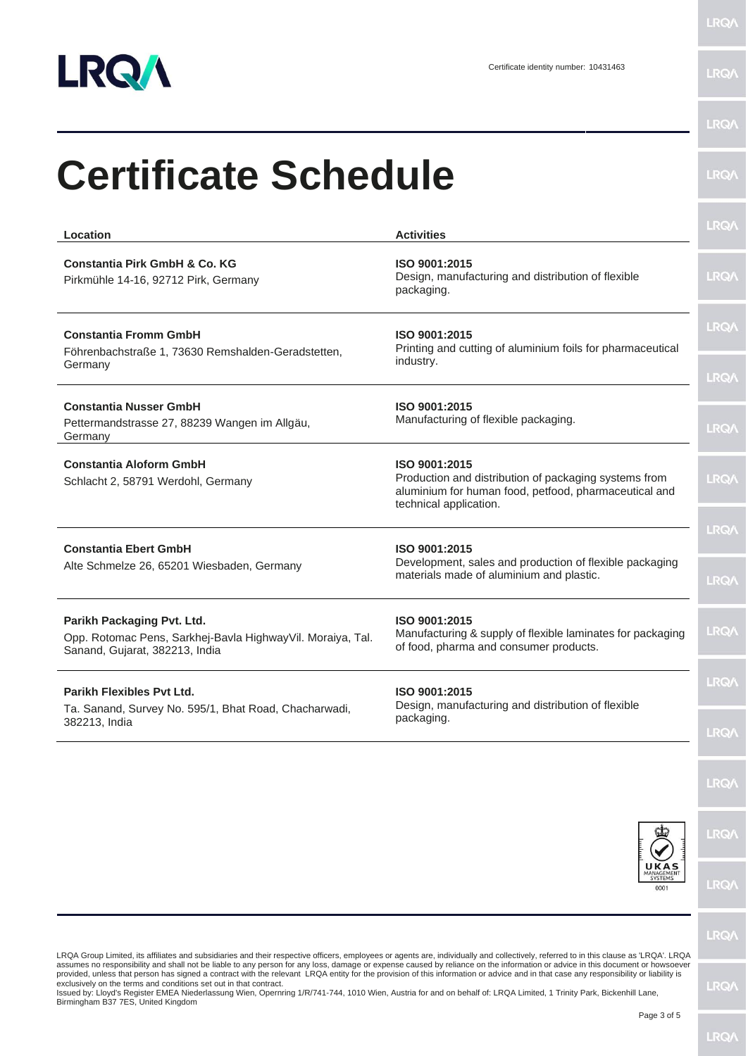

LRQ/\

| <b>Certificate Schedule</b>                                                                                                                                                                                                                                                                                                                                                                                                                                                                                                                                                                                                         |                                                                                                                                                           | <b>LRQA</b>                |
|-------------------------------------------------------------------------------------------------------------------------------------------------------------------------------------------------------------------------------------------------------------------------------------------------------------------------------------------------------------------------------------------------------------------------------------------------------------------------------------------------------------------------------------------------------------------------------------------------------------------------------------|-----------------------------------------------------------------------------------------------------------------------------------------------------------|----------------------------|
| Location                                                                                                                                                                                                                                                                                                                                                                                                                                                                                                                                                                                                                            | <b>Activities</b>                                                                                                                                         | <b>LRQA</b>                |
| <b>Constantia Pirk GmbH &amp; Co. KG</b><br>Pirkmühle 14-16, 92712 Pirk, Germany                                                                                                                                                                                                                                                                                                                                                                                                                                                                                                                                                    | ISO 9001:2015<br>Design, manufacturing and distribution of flexible<br>packaging.                                                                         | <b>LRQA</b>                |
| <b>Constantia Fromm GmbH</b><br>Föhrenbachstraße 1, 73630 Remshalden-Geradstetten,<br>Germany                                                                                                                                                                                                                                                                                                                                                                                                                                                                                                                                       | ISO 9001:2015<br>Printing and cutting of aluminium foils for pharmaceutical<br>industry.                                                                  | <b>LRQA</b>                |
| <b>Constantia Nusser GmbH</b><br>Pettermandstrasse 27, 88239 Wangen im Allgäu,<br>Germany                                                                                                                                                                                                                                                                                                                                                                                                                                                                                                                                           | ISO 9001:2015<br>Manufacturing of flexible packaging.                                                                                                     | <b>LRQA</b><br><b>LRQA</b> |
| <b>Constantia Aloform GmbH</b><br>Schlacht 2, 58791 Werdohl, Germany                                                                                                                                                                                                                                                                                                                                                                                                                                                                                                                                                                | ISO 9001:2015<br>Production and distribution of packaging systems from<br>aluminium for human food, petfood, pharmaceutical and<br>technical application. | <b>LRQA</b>                |
| <b>Constantia Ebert GmbH</b><br>Alte Schmelze 26, 65201 Wiesbaden, Germany                                                                                                                                                                                                                                                                                                                                                                                                                                                                                                                                                          | ISO 9001:2015<br>Development, sales and production of flexible packaging<br>materials made of aluminium and plastic.                                      | <b>LRQA</b><br><b>LRQA</b> |
| Parikh Packaging Pvt. Ltd.<br>Opp. Rotomac Pens, Sarkhej-Bavla HighwayVil. Moraiya, Tal.<br>Sanand, Gujarat, 382213, India                                                                                                                                                                                                                                                                                                                                                                                                                                                                                                          | ISO 9001:2015<br>Manufacturing & supply of flexible laminates for packaging<br>of food, pharma and consumer products.                                     | <b>LRQA</b>                |
| <b>Parikh Flexibles Pvt Ltd.</b><br>ISO 9001:2015<br>Design, manufacturing and distribution of flexible<br>Ta. Sanand, Survey No. 595/1, Bhat Road, Chacharwadi,<br>packaging.<br>382213, India                                                                                                                                                                                                                                                                                                                                                                                                                                     |                                                                                                                                                           | <b>LRQ/</b>                |
|                                                                                                                                                                                                                                                                                                                                                                                                                                                                                                                                                                                                                                     |                                                                                                                                                           | LRQ/                       |
|                                                                                                                                                                                                                                                                                                                                                                                                                                                                                                                                                                                                                                     |                                                                                                                                                           | <b>LRQA</b>                |
|                                                                                                                                                                                                                                                                                                                                                                                                                                                                                                                                                                                                                                     |                                                                                                                                                           | LRQ/                       |
|                                                                                                                                                                                                                                                                                                                                                                                                                                                                                                                                                                                                                                     | ANAGEMENT<br>SYSTEMS<br>0001                                                                                                                              | LRQ/                       |
|                                                                                                                                                                                                                                                                                                                                                                                                                                                                                                                                                                                                                                     |                                                                                                                                                           | <b>LRQA</b>                |
| LRQA Group Limited, its affiliates and subsidiaries and their respective officers, employees or agents are, individually and collectively, referred to in this clause as 'LRQA'. LRQA<br>assumes no responsibility and shall not be liable to any person for any loss, damage or expense caused by reliance on the information or advice in this document or howsoever<br>provided, unless that person has signed a contract with the relevant LRQA entity for the provision of this information or advice and in that case any responsibility or liability is<br>exclusively on the terms and conditions set out in that contract. |                                                                                                                                                           | <b>IRO</b>                 |

exclusively on the terms and conditions set out in that contract.<br>Issued by: Lloyd's Register EMEA Niederlassung Wien, Opernring 1/R/741-744, 1010 Wien, Austria for and on behalf of: LRQA Limited, 1 Trinity Park, Bickenhil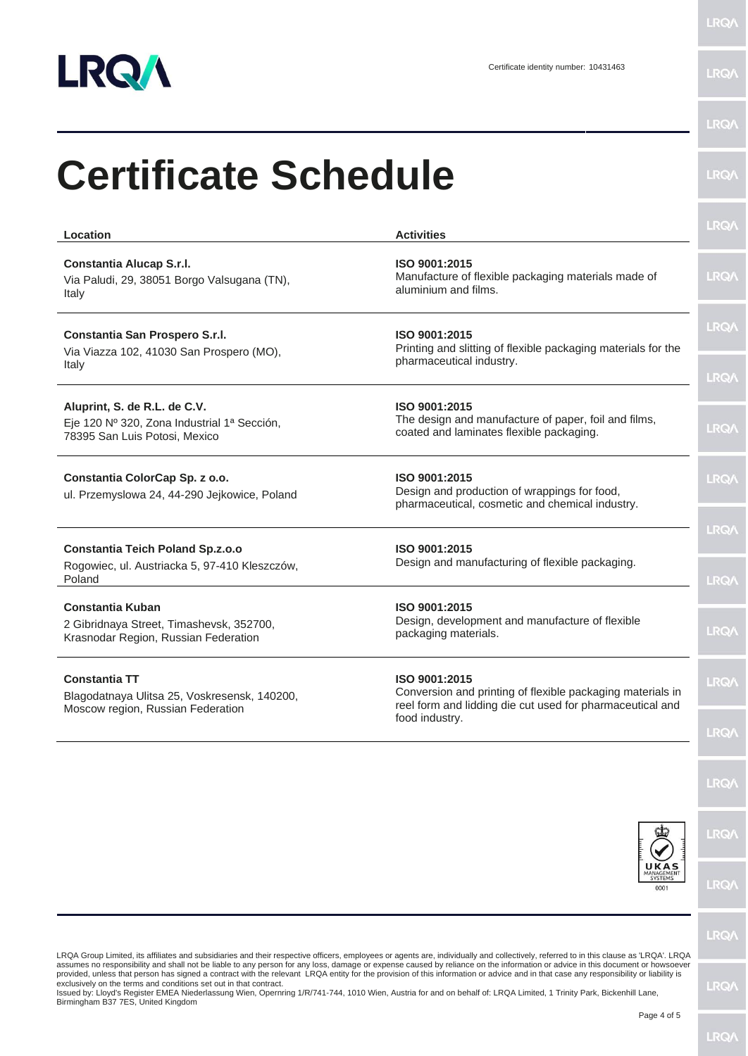

**LRQA** 

| Location                                                                                                     | <b>Activities</b>                                                                                                                        | <b>LRQA</b> |
|--------------------------------------------------------------------------------------------------------------|------------------------------------------------------------------------------------------------------------------------------------------|-------------|
| Constantia Alucap S.r.l.<br>Via Paludi, 29, 38051 Borgo Valsugana (TN),<br>Italy                             | ISO 9001:2015<br>Manufacture of flexible packaging materials made of<br>aluminium and films.                                             | <b>LRQA</b> |
| Constantia San Prospero S.r.l.<br>Via Viazza 102, 41030 San Prospero (MO),                                   | ISO 9001:2015<br>Printing and slitting of flexible packaging materials for the<br>pharmaceutical industry.                               | <b>LRQA</b> |
| Italy                                                                                                        |                                                                                                                                          | <b>LRQA</b> |
| Aluprint, S. de R.L. de C.V.<br>Eje 120 Nº 320, Zona Industrial 1ª Sección,<br>78395 San Luis Potosi, Mexico | ISO 9001:2015<br>The design and manufacture of paper, foil and films,<br>coated and laminates flexible packaging.                        | <b>LRQA</b> |
| Constantia ColorCap Sp. z o.o.<br>ul. Przemyslowa 24, 44-290 Jejkowice, Poland                               | ISO 9001:2015<br>Design and production of wrappings for food,<br>pharmaceutical, cosmetic and chemical industry.                         | <b>LRQA</b> |
| <b>Constantia Teich Poland Sp.z.o.o</b>                                                                      | ISO 9001:2015                                                                                                                            | <b>LRQA</b> |
| Rogowiec, ul. Austriacka 5, 97-410 Kleszczów,<br>Poland                                                      | Design and manufacturing of flexible packaging.                                                                                          | <b>LRQA</b> |
| <b>Constantia Kuban</b><br>2 Gibridnaya Street, Timashevsk, 352700,<br>Krasnodar Region, Russian Federation  | ISO 9001:2015<br>Design, development and manufacture of flexible<br>packaging materials.                                                 | <b>LRQA</b> |
| <b>Constantia TT</b><br>Blagodatnaya Ulitsa 25, Voskresensk, 140200,<br>Moscow region, Russian Federation    | ISO 9001:2015<br>Conversion and printing of flexible packaging materials in<br>reel form and lidding die cut used for pharmaceutical and | <b>LRQA</b> |
|                                                                                                              | food industry.                                                                                                                           | <b>LRQA</b> |
|                                                                                                              |                                                                                                                                          | <b>LRQA</b> |
|                                                                                                              |                                                                                                                                          | <b>LRQA</b> |
|                                                                                                              | UKAS<br>MANAGEMENT<br>0001                                                                                                               | <b>LRQA</b> |
|                                                                                                              |                                                                                                                                          | <b>LROA</b> |

LRQA Group Limited, its affiliates and subsidiaries and their respective officers, employees or agents are, individually and collectively, referred to in this clause as 'LRQA'. LRQA<br>assumes no responsibility and shall not